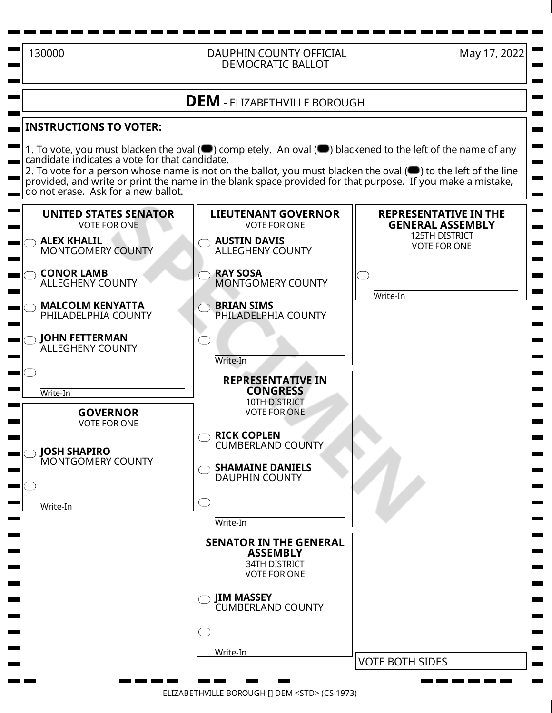## 130000 DAUPHIN COUNTY OFFICIAL DEMOCRATIC BALLOT

May 17, 2022

## **DEM** - ELIZABETHVILLE BOROUGH

## **INSTRUCTIONS TO VOTER:**

1. To vote, you must blacken the oval  $(\blacksquare)$  completely. An oval  $(\blacksquare)$  blackened to the left of the name of any candidate indicates a vote for that candidate.

2. To vote for a person whose name is not on the ballot, you must blacken the oval ( $\blacksquare$ ) to the left of the line provided, and write or print the name in the blank space provided for that purpose. If you make a mistake, do not erase. Ask for a new ballot.

| <b>UNITED STATES SENATOR</b><br><b>VOTE FOR ONE</b> | <b>LIEUTENANT GOVERNOR</b><br><b>VOTE FOR ONE</b>                                               | <b>REPRESENTATIVE IN THE</b><br><b>GENERAL ASSEMBLY</b> |
|-----------------------------------------------------|-------------------------------------------------------------------------------------------------|---------------------------------------------------------|
| <b>ALEX KHALIL</b><br><b>MONTGOMERY COUNTY</b>      | <b>AUSTIN DAVIS</b><br><b>ALLEGHENY COUNTY</b>                                                  | 125TH DISTRICT<br><b>VOTE FOR ONE</b>                   |
| <b>CONOR LAMB</b><br><b>ALLEGHENY COUNTY</b>        | <b>RAY SOSA</b><br><b>MONTGOMERY COUNTY</b>                                                     |                                                         |
| <b>MALCOLM KENYATTA</b><br>PHILADELPHIA COUNTY      | <b>BRIAN SIMS</b><br>PHILADELPHIA COUNTY                                                        | Write-In                                                |
| <b>JOHN FETTERMAN</b><br>ALLEGHENY COUNTY           |                                                                                                 |                                                         |
|                                                     | Write-In                                                                                        |                                                         |
| Write-In                                            | <b>REPRESENTATIVE IN</b><br><b>CONGRESS</b><br>10TH DISTRICT                                    |                                                         |
| <b>GOVERNOR</b><br><b>VOTE FOR ONE</b>              | <b>VOTE FOR ONE</b>                                                                             |                                                         |
| <b>JOSH SHAPIRO</b>                                 | <b>RICK COPLEN</b><br><b>CUMBERLAND COUNTY</b>                                                  |                                                         |
| MONTGOMERY COUNTY                                   | <b>SHAMAINE DANIELS</b><br><b>DAUPHIN COUNTY</b>                                                |                                                         |
|                                                     |                                                                                                 |                                                         |
| Write-In                                            | Write-In                                                                                        |                                                         |
|                                                     | <b>SENATOR IN THE GENERAL</b><br><b>ASSEMBLY</b><br><b>34TH DISTRICT</b><br><b>VOTE FOR ONE</b> |                                                         |
|                                                     | <b>JIM MASSEY</b><br><b>CUMBERLAND COUNTY</b>                                                   |                                                         |
|                                                     |                                                                                                 |                                                         |
|                                                     | Write-In                                                                                        | <b>VOTE BOTH SIDES</b>                                  |